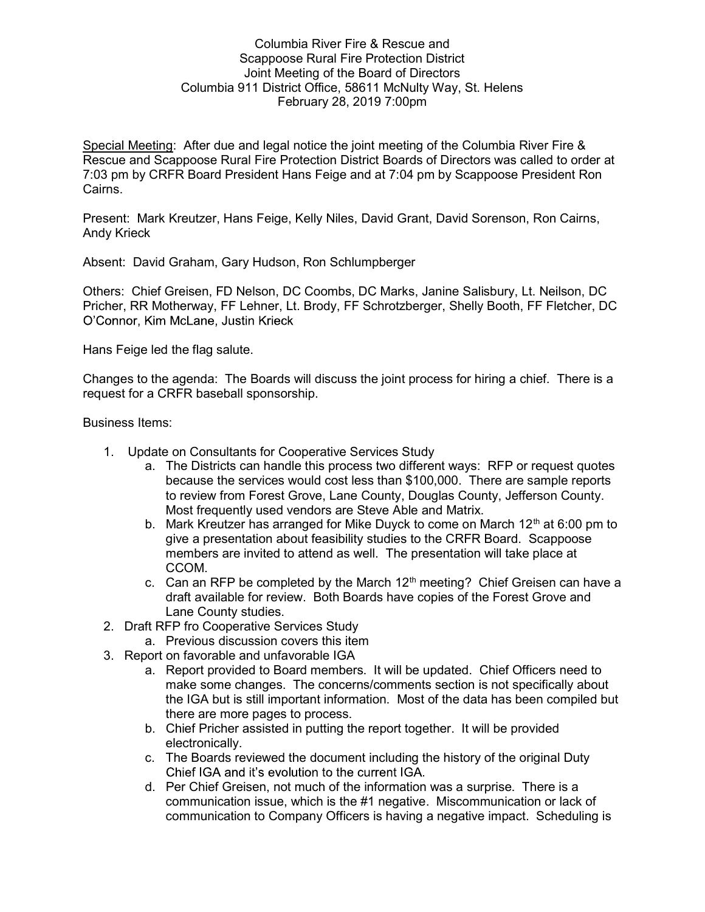## Columbia River Fire & Rescue and Scappoose Rural Fire Protection District Joint Meeting of the Board of Directors Columbia 911 District Office, 58611 McNulty Way, St. Helens February 28, 2019 7:00pm

Special Meeting: After due and legal notice the joint meeting of the Columbia River Fire & Rescue and Scappoose Rural Fire Protection District Boards of Directors was called to order at 7:03 pm by CRFR Board President Hans Feige and at 7:04 pm by Scappoose President Ron Cairns.

Present: Mark Kreutzer, Hans Feige, Kelly Niles, David Grant, David Sorenson, Ron Cairns, Andy Krieck

Absent: David Graham, Gary Hudson, Ron Schlumpberger

Others: Chief Greisen, FD Nelson, DC Coombs, DC Marks, Janine Salisbury, Lt. Neilson, DC Pricher, RR Motherway, FF Lehner, Lt. Brody, FF Schrotzberger, Shelly Booth, FF Fletcher, DC O'Connor, Kim McLane, Justin Krieck

Hans Feige led the flag salute.

Changes to the agenda: The Boards will discuss the joint process for hiring a chief. There is a request for a CRFR baseball sponsorship.

Business Items:

- 1. Update on Consultants for Cooperative Services Study
	- a. The Districts can handle this process two different ways: RFP or request quotes because the services would cost less than \$100,000. There are sample reports to review from Forest Grove, Lane County, Douglas County, Jefferson County. Most frequently used vendors are Steve Able and Matrix.
	- b. Mark Kreutzer has arranged for Mike Duyck to come on March  $12<sup>th</sup>$  at 6:00 pm to give a presentation about feasibility studies to the CRFR Board. Scappoose members are invited to attend as well. The presentation will take place at CCOM.
	- c. Can an RFP be completed by the March  $12<sup>th</sup>$  meeting? Chief Greisen can have a draft available for review. Both Boards have copies of the Forest Grove and Lane County studies.
- 2. Draft RFP fro Cooperative Services Study
	- a. Previous discussion covers this item
- 3. Report on favorable and unfavorable IGA
	- a. Report provided to Board members. It will be updated. Chief Officers need to make some changes. The concerns/comments section is not specifically about the IGA but is still important information. Most of the data has been compiled but there are more pages to process.
	- b. Chief Pricher assisted in putting the report together. It will be provided electronically.
	- c. The Boards reviewed the document including the history of the original Duty Chief IGA and it's evolution to the current IGA.
	- d. Per Chief Greisen, not much of the information was a surprise. There is a communication issue, which is the #1 negative. Miscommunication or lack of communication to Company Officers is having a negative impact. Scheduling is